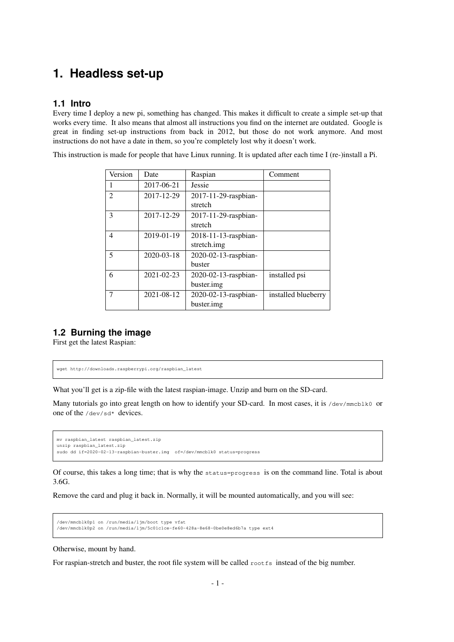## **1. Headless set-up**

## **1.1 Intro**

Every time I deploy a new pi, something has changed. This makes it difficult to create a simple set-up that works every time. It also means that almost all instructions you find on the internet are outdated. Google is great in finding set-up instructions from back in 2012, but those do not work anymore. And most instructions do not have a date in them, so you're completely lost why it doesn't work.

This instruction is made for people that have Linux running. It is updated after each time I (re-)install a Pi.

| Version        | Date             | Raspian              | Comment             |
|----------------|------------------|----------------------|---------------------|
| 1              | 2017-06-21       | Jessie               |                     |
| $\overline{2}$ | 2017-12-29       | 2017-11-29-raspbian- |                     |
|                |                  | stretch              |                     |
| 3              | 2017-12-29       | 2017-11-29-raspbian- |                     |
|                |                  | stretch              |                     |
| $\overline{4}$ | 2019-01-19       | 2018-11-13-raspbian- |                     |
|                |                  | stretch.img          |                     |
| 5              | $2020 - 03 - 18$ | 2020-02-13-raspbian- |                     |
|                |                  | buster               |                     |
| 6              | $2021 - 02 - 23$ | 2020-02-13-raspbian- | installed psi       |
|                |                  | buster.img           |                     |
| 7              | 2021-08-12       | 2020-02-13-raspbian- | installed blueberry |
|                |                  | buster.img           |                     |

## **1.2 Burning the image**

First get the latest Raspian:

```
wget http://downloads.raspberrypi.org/raspbian_latest
```
What you'll get is a zip-file with the latest raspian-image. Unzip and burn on the SD-card.

Many tutorials go into great length on how to identify your SD-card. In most cases, it is /dev/mmcblk0 or one of the /dev/sd\* devices.

mv raspbian\_latest raspbian\_latest.zip unzip raspbian\_latest.zip sudo dd if=2020-02-13-raspbian-buster.img of=/dev/mmcblk0 status=progress

Of course, this takes a long time; that is why the status=progress is on the command line. Total is about 3.6G.

Remove the card and plug it back in. Normally, it will be mounted automatically, and you will see:

```
/dev/mmcblk0p1 on /run/media/ljm/boot type vfat
/dev/mmcblk0p2 on /run/media/ljm/5c01c1ce-fe60-428a-8e68-0be0e8ed6b7a type ext4
```
Otherwise, mount by hand.

For raspian-stretch and buster, the root file system will be called rootfs instead of the big number.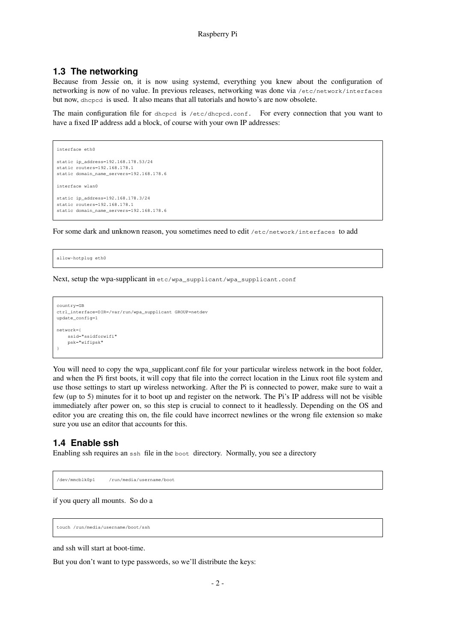#### **1.3 The networking**

Because from Jessie on, it is now using systemd, everything you knew about the configuration of networking is now of no value. In previous releases, networking was done via /etc/network/interfaces but now, dhcpcd is used. It also means that all tutorials and howto's are now obsolete.

The main configuration file for dhcpcd is /etc/dhcpcd.conf. For every connection that you want to have a fixed IP address add a block, of course with your own IP addresses:

```
interface eth0
static ip_address=192.168.178.53/24
static routers=192.168.178.1
static domain_name_servers=192.168.178.6
interface wlan0
static ip_address=192.168.178.3/24
static routers=192.168.178.1
static domain_name_servers=192.168.178.6
```
For some dark and unknown reason, you sometimes need to edit /etc/network/interfaces to add

allow-hotplug eth0

Next, setup the wpa-supplicant in etc/wpa\_supplicant/wpa\_supplicant.conf

```
country=GB
ctrl_interface=DIR=/var/run/wpa_supplicant GROUP=netdev
update_config=1
network={
    ssid="ssidforwifi"
   psk="wifipsk"
}
```
You will need to copy the wpa\_supplicant.conf file for your particular wireless network in the boot folder, and when the Pi first boots, it will copy that file into the correct location in the Linux root file system and use those settings to start up wireless networking. After the Pi is connected to power, make sure to wait a few (up to 5) minutes for it to boot up and register on the network. The Pi's IP address will not be visible immediately after power on, so this step is crucial to connect to it headlessly. Depending on the OS and editor you are creating this on, the file could have incorrect newlines or the wrong file extension so make sure you use an editor that accounts for this.

#### **1.4 Enable ssh**

Enabling ssh requires an ssh file in the boot directory. Normally, you see a directory

```
/dev/mmcblk0p1 /run/media/username/boot
```
if you query all mounts. So do a

touch /run/media/username/boot/ssh

and ssh will start at boot-time.

But you don't want to type passwords, so we'll distribute the keys: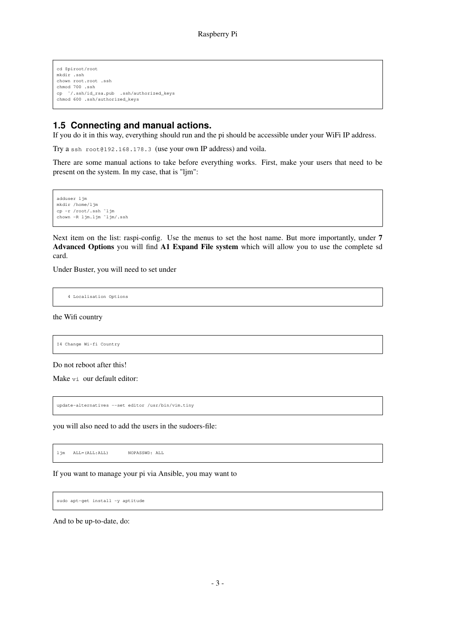```
cd $piroot/root
mkdir .ssh
chown root.root .ssh
chmod 700 .ssh
cp ˜/.ssh/id_rsa.pub .ssh/authorized_keys
chmod 600 .ssh/authorized_keys
```
## **1.5 Connecting and manual actions.**

If you do it in this way, everything should run and the pi should be accessible under your WiFi IP address.

Try a ssh root@192.168.178.3 (use your own IP address) and voila.

There are some manual actions to take before everything works. First, make your users that need to be present on the system. In my case, that is "ljm":

adduser ljm mkdir /home/ljm cp -r /root/.ssh ˜ljm chown  $-R$  ljm.ljm  $\frac{1}{m}$ .ssh

Next item on the list: raspi-config. Use the menus to set the host name. But more importantly, under **7 Advanced Options** you will find **A1 Expand File system** which will allow you to use the complete sd card.

Under Buster, you will need to set under

4 Localisation Options

the Wifi country

I4 Change Wi-fi Country

Do not reboot after this!

Make vi our default editor:

update-alternatives --set editor /usr/bin/vim.tiny

you will also need to add the users in the sudoers-file:

ljm ALL=(ALL:ALL) NOPASSWD: ALL

If you want to manage your pi via Ansible, you may want to

sudo apt-get install -y aptitude

And to be up-to-date, do: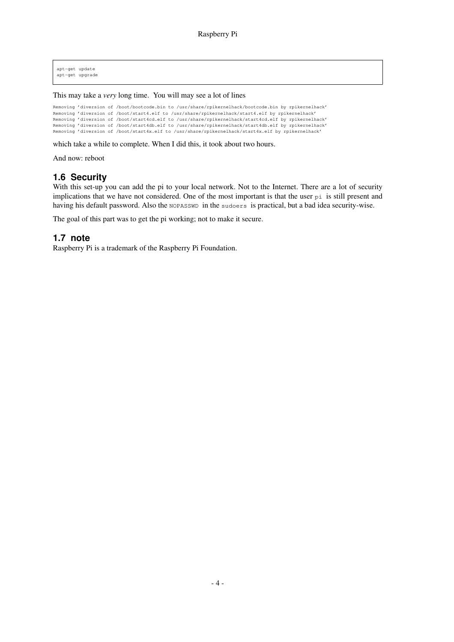apt-get update apt-get upgrade

This may take a *very* long time. You will may see a lot of lines

Removing 'diversion of /boot/bootcode.bin to /usr/share/rpikernelhack/bootcode.bin by rpikernelhack' Removing 'diversion of /boot/start4.elf to /usr/share/rpikernelhack/start4.elf by rpikernelhack' Removing 'diversion of /boot/start4cd.elf to /usr/share/rpikernelhack/start4cd.elf by rpikernelhack' Removing 'diversion of /boot/start4db.elf to /usr/share/rpikernelhack/start4db.elf by rpikernelhack' Removing 'diversion of /boot/start4x.elf to /usr/share/rpikernelhack/start4x.elf by rpikernelhack'

which take a while to complete. When I did this, it took about two hours.

And now: reboot

### **1.6 Security**

With this set-up you can add the pi to your local network. Not to the Internet. There are a lot of security implications that we have not considered. One of the most important is that the user pi is still present and having his default password. Also the NOPASSWD in the sudoers is practical, but a bad idea security-wise.

The goal of this part was to get the pi working; not to make it secure.

#### **1.7 note**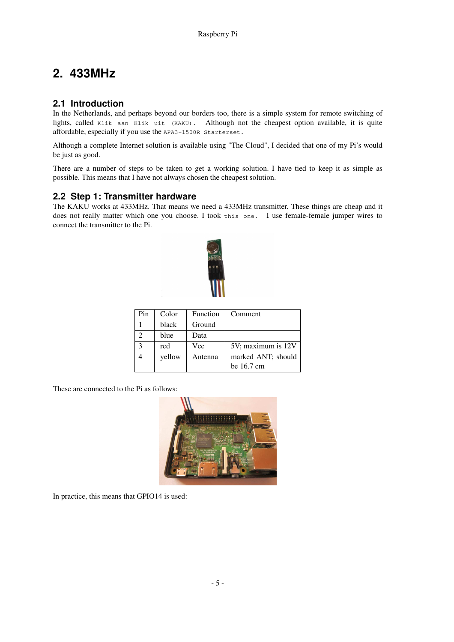## **2. 433MHz**

## **2.1 Introduction**

In the Netherlands, and perhaps beyond our borders too, there is a simple system for remote switching of lights, called Klik aan Klik uit (KAKU). Although not the cheapest option available, it is quite affordable, especially if you use the APA3-1500R Starterset.

Although a complete Internet solution is available using "The Cloud", I decided that one of my Pi's would be just as good.

There are a number of steps to be taken to get a working solution. I have tied to keep it as simple as possible. This means that I have not always chosen the cheapest solution.

## **2.2 Step 1: Transmitter hardware**

The KAKU works at 433MHz. That means we need a 433MHz transmitter. These things are cheap and it does not really matter which one you choose. I took this one. I use female-female jumper wires to connect the transmitter to the Pi.



| Pin | Color  | Function | Comment              |
|-----|--------|----------|----------------------|
|     | black  | Ground   |                      |
|     | blue   | Data     |                      |
|     | red    | Vcc      | 5V; maximum is 12V   |
|     | yellow | Antenna  | marked ANT; should   |
|     |        |          | be $16.7 \text{ cm}$ |

These are connected to the Pi as follows:



In practice, this means that GPIO14 is used: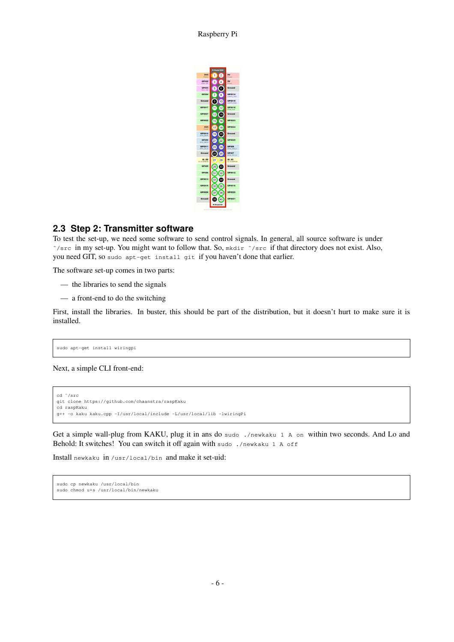Raspberry Pi

|                              | Pi Model B/B+ |                                   |
|------------------------------|---------------|-----------------------------------|
| <b>JV3</b><br>Power          | ł<br>2        | 5V<br>Power                       |
| GPIO2<br><b>SOA1120</b>      | 3<br>Δ        | 5V<br>Power                       |
| GPIO3<br><b>SCL1120</b>      | 5<br>6        | Ground                            |
| GPI04                        | 7<br>8        | GPI014<br>UARTO TXO               |
| Ground                       | Q<br>10       | <b>GPIO15</b>                     |
| <b>GPI017</b>                | 12            | <b>UARTO RXD</b><br><b>GPIO18</b> |
| <b>GPI027</b>                | 14            | <b>CM CLK</b><br>Ground           |
|                              | 13            |                                   |
| <b>GPI022</b>                | 15<br>16      | <b>GPI023</b>                     |
| 3V3<br>Power                 | 17<br>18      | <b>GPI024</b>                     |
| <b>GPI010</b><br>SPID MOSE   | 20<br>19      | Ground                            |
| GPIOS<br>SF10, MISO          | 211<br>22     | <b>GPI025</b>                     |
| <b>GPI011</b><br>SPIO SCLK   | 24<br>23      | <b>GPIOS</b><br>5P10 CED N        |
| Ground                       | 25<br>26      | GPIO7<br>5P10 CE1 N               |
| ID SD<br><b>DC ID EEPROM</b> | 27<br>28      | ID SC<br><b>MORRIS ID 20</b>      |
| <b>GPIOS</b>                 | 29<br>30      | Ground                            |
| <b>GPIO6</b>                 | 31<br>32      | <b>GPI012</b>                     |
| <b>GPI013</b>                | 33<br>Ŕ.      | Ground                            |
| <b>GPI019</b>                | 35<br>36      | <b>GPIO16</b>                     |
| <b>GPIO26</b>                | 38            | <b>GPI020</b>                     |
| Ground                       | 40            | <b>GPI021</b>                     |
|                              | Pi Model B+   |                                   |

## **2.3 Step 2: Transmitter software**

To test the set-up, we need some software to send control signals. In general, all source software is under ˜/src in my set-up. You might want to follow that. So, mkdir ˜/src if that directory does not exist. Also, you need GIT, so sudo apt-get install git if you haven't done that earlier.

The software set-up comes in two parts:

- the libraries to send the signals
- a front-end to do the switching

First, install the libraries. In buster, this should be part of the distribution, but it doesn't hurt to make sure it is installed.

sudo apt-get install wiringpi

Next, a simple CLI front-end:

```
cd ˜/src
git clone https://github.com/chaanstra/raspKaku
cd raspKaku
g++ -o kaku kaku.cpp -I/usr/local/include -L/usr/local/lib -lwiringPi
```
Get a simple wall-plug from KAKU, plug it in ans do sudo ./newkaku 1 A on within two seconds. And Lo and Behold: It switches! You can switch it off again with sudo ./newkaku 1 A off

Install newkaku in /usr/local/bin and make it set-uid:

```
sudo cp newkaku /usr/local/bin
sudo chmod u+s /usr/local/bin/newkaku
```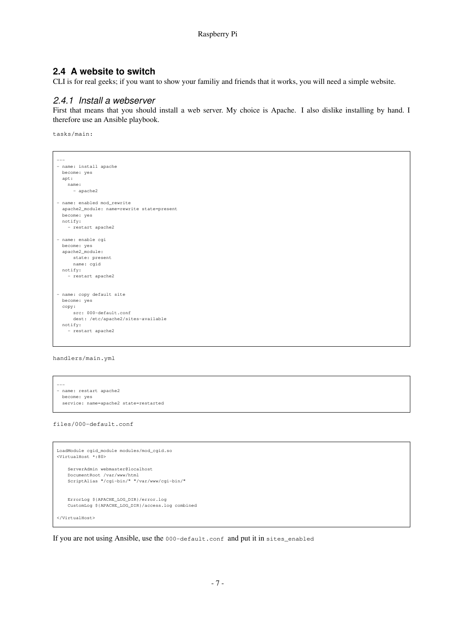#### **2.4 A website to switch**

CLI is for real geeks; if you want to show your familiy and friends that it works, you will need a simple website.

#### 2.4.1 Install a webserver

First that means that you should install a web server. My choice is Apache. I also dislike installing by hand. I therefore use an Ansible playbook.

tasks/main:

```
---
- name: install apache
 become: yes
 apt:
   name:
     - apache2
- name: enabled mod_rewrite
 apache2_module: name=rewrite state=present
 become: yes
 notify:
   - restart apache2
- name: enable cgi
 become: yes
 apache2_module:
     state: present
     name: cgid
 notify:
   - restart apache2
- name: copy default site
 become: yes
 copy:
     .<br>src: 000-default.conf
     dest: /etc/apache2/sites-available
 notify:
    - restart apache2
```
handlers/main.yml

```
---
 - name: restart apache2
  become: yes
  service: name=apache2 state=restarted
files/000-default.conf
```

```
LoadModule cgid_module modules/mod_cgid.so
<VirtualHost *:80>
   ServerAdmin webmaster@localhost
   DocumentRoot /var/www/html
   ScriptAlias "/cgi-bin/" "/var/www/cgi-bin/"
   ErrorLog ${APACHE_LOG_DIR}/error.log
   CustomLog ${APACHE_LOG_DIR}/access.log combined
</VirtualHost>
```
If you are not using Ansible, use the 000-default.conf and put it in sites\_enabled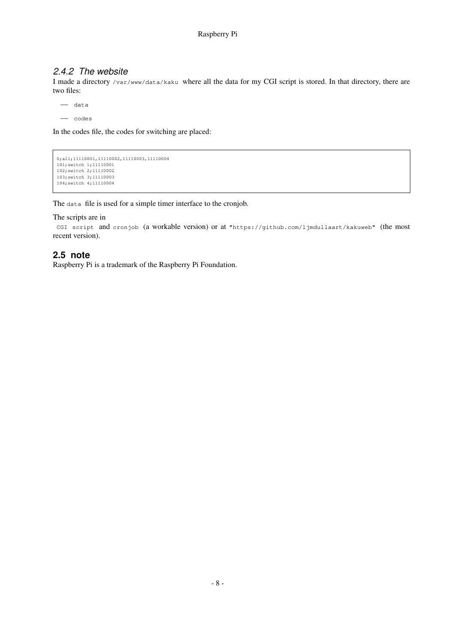## 2.4.2 The website

I made a directory /var/www/data/kaku where all the data for my CGI script is stored. In that directory, there are two files:

— data

— codes

In the codes file, the codes for switching are placed:

```
0; all; 11110001, 11110002, 11110003, 11110004
101;switch 1;11110001
102;switch 2;11110002
103;switch 3;11110003
104;switch 4;11110004
```
The data file is used for a simple timer interface to the cronjob.

The scripts are in

```
CGI script and cronjob (a workable version) or at "https://github.com/ljmdullaart/kakuweb" (the most
recent version).
```
#### **2.5 note**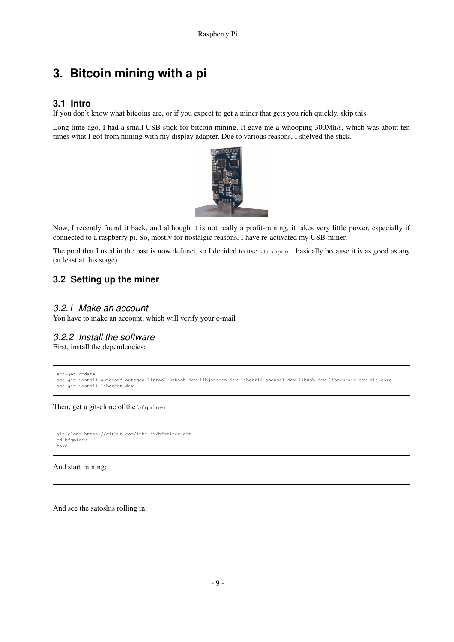## **3. Bitcoin mining with a pi**

## **3.1 Intro**

If you don't know what bitcoins are, or if you expect to get a miner that gets you rich quickly, skip this.

Long time ago, I had a small USB stick for bitcoin mining. It gave me a whooping 300Mh/s, which was about ten times what I got from mining with my display adapter. Due to various reasons, I shelved the stick.



Now, I recently found it back, and although it is not really a profit-mining, it takes very little power, especially if connected to a raspberry pi. So, mostly for nostalgic reasons, I have re-activated my USB-miner.

The pool that I used in the past is now defunct, so I decided to use slushpool basically because it is as good as any (at least at this stage).

## **3.2 Setting up the miner**

#### 3.2.1 Make an account

You have to make an account, which will verify your e-mail

### 3.2.2 Install the software

First, install the dependencies:

```
apt-get update
apt-get install autoconf autogen libtool uthash-dev libjansson-dev libcurl4-openssl-dev libusb-dev libncurses-dev git-core
apt-get install libevent-dev
```
Then, get a git-clone of the bfgminer

```
git clone https://github.com/luke-jr/bfgminer.git
cd bfgminer
make
```
And start mining:

And see the satoshis rolling in: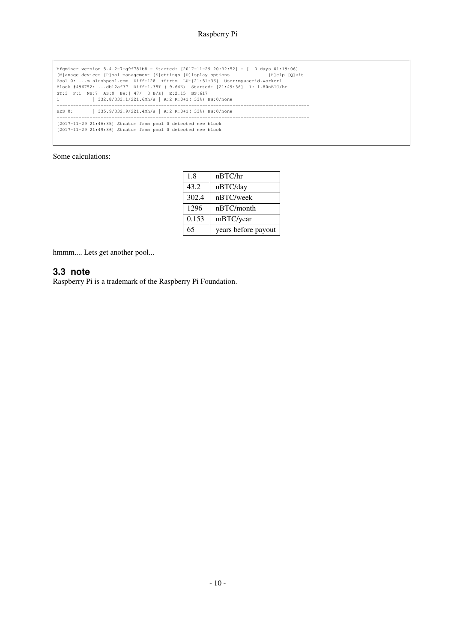```
bfgminer version 5.4.2-7-g9f781b8 - Started: [2017-11-29 20:32:52] - [ 0 days 01:19:06]
[M]anage devices [P]ool management [S]ettings [D]isplay options [H]elp [Q]uit
Pool 0: ...m.slushpool.com Diff:128 +Strtm LU:[21:51:36] User:myuserid.worker1
Block #496752: ...db12af37 Diff:1.35T ( 9.64E) Started: [21:49:36] I: 1.80nBTC/hr
ST:3 F:1 NB:7 AS:0 BW:[ 47/ 3 B/s] E:2.15 BS:617
1 | 332.8/333.1/221.6Mh/s | A:2 R:0+1( 33%) HW:0/none
--------------------------------------------------------------------------------------------
BES 0: | 335.9/332.9/221.4Mh/s | A:2 R:0+1( 33%) HW:0/none
--------------------------------------------------------------------------------------------
[2017-11-29 21:46:35] Stratum from pool 0 detected new block
[2017-11-29 21:49:36] Stratum from pool 0 detected new block
```
Some calculations:

| 1.8  |       | nBTC/hr             |
|------|-------|---------------------|
| 43.2 |       | nBTC/day            |
|      | 302.4 | nBTC/week           |
| 1296 |       | nBTC/month          |
|      | 0.153 | mBTC/year           |
| 65   |       | years before payout |

hmmm.... Lets get another pool...

#### **3.3 note**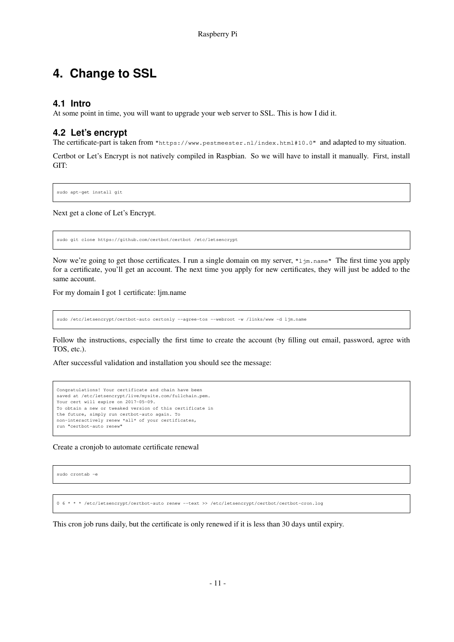## **4. Change to SSL**

## **4.1 Intro**

At some point in time, you will want to upgrade your web server to SSL. This is how I did it.

## **4.2 Let's encr ypt**

The certificate-part is taken from "https://www.pestmeester.nl/index.html#10.0" and adapted to my situation.

Certbot or Let's Encrypt is not natively compiled in Raspbian. So we will have to install it manually. First, install GIT:

sudo apt-get install git

Next get a clone of Let's Encrypt.

sudo git clone https://github.com/certbot/certbot /etc/letsencrypt

Now we're going to get those certificates. I run a single domain on my server, " $1 \text{ } j\text{m}$ .name" The first time you apply for a certificate, you'll get an account. The next time you apply for new certificates, they will just be added to the same account.

For my domain I got 1 certificate: ljm.name

sudo /etc/letsencrypt/certbot-auto certonly --agree-tos --webroot -w /links/www -d ljm.name

Follow the instructions, especially the first time to create the account (by filling out email, password, agree with TOS, etc.).

After successful validation and installation you should see the message:

```
Congratulations! Your certificate and chain have been
saved at /etc/letsencrypt/live/mysite.com/fullchain.pem.
Your cert will expire on 2017-05-09.
To obtain a new or tweaked version of this certificate in
the future, simply run certbot-auto again. To
non-interactively renew *all* of your certificates,
run "certbot-auto renew"
```
Create a cronjob to automate certificate renewal

sudo crontab -e

06\*\*\*/etc/letsencrypt/certbot-auto renew --text >> /etc/letsencrypt/certbot/certbot-cron.log

This cron job runs daily, but the certificate is only renewed if it is less than 30 days until expiry.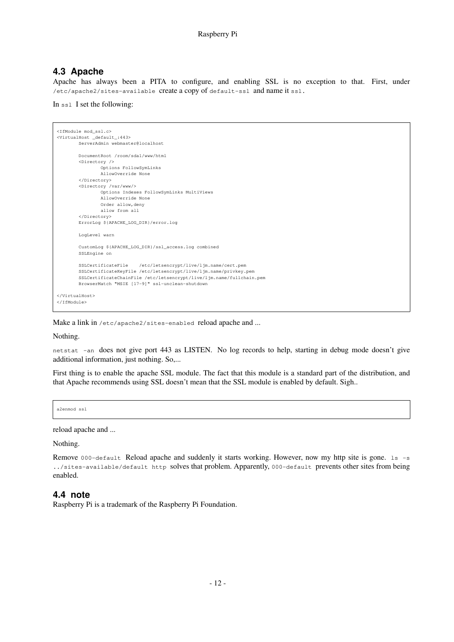## **4.3 Apache**

Apache has always been a PITA to configure, and enabling SSL is no exception to that. First, under /etc/apache2/sites-available create a copy of default-ssl and name it ssl.

In ssl I set the following:

```
<IfModule mod_ssl.c>
<VirtualHost _default_:443>
       ServerAdmin webmaster@localhost
       DocumentRoot /room/sda1/www/html
        <Directory />
               Options FollowSymLinks
               AllowOverride None
        </Directory>
        <Directory /var/www/>
                Options Indexes FollowSymLinks MultiViews
                AllowOverride None
               Order allow,deny
               allow from all
        </Directory>
       ErrorLog ${APACHE_LOG_DIR}/error.log
       LogLevel warn
       CustomLog ${APACHE_LOG_DIR}/ssl_access.log combined
       SSLEngine on
        SSLCertificateFile /etc/letsencrypt/live/ljm.name/cert.pem
        SSLCertificateKeyFile /etc/letsencrypt/live/ljm.name/privkey.pem
        SSLCertificateChainFile /etc/letsencrypt/live/ljm.name/fullchain.pem
       BrowserMatch "MSIE [17-9]" ssl-unclean-shutdown
</VirtualHost>
</IfModule>
```
Make a link in /etc/apache2/sites-enabled reload apache and ...

Nothing.

netstat -an does not give port 443 as LISTEN. No log records to help, starting in debug mode doesn't give additional information, just nothing. So,...

First thing is to enable the apache SSL module. The fact that this module is a standard part of the distribution, and that Apache recommends using SSL doesn't mean that the SSL module is enabled by default. Sigh..

a2enmod ssl

reload apache and ...

Nothing.

Remove 000-default Reload apache and suddenly it starts working. However, now my http site is gone. 1s -s ../sites-available/default http solves that problem. Apparently, 000-default prevents other sites from being enabled.

#### **4.4 note**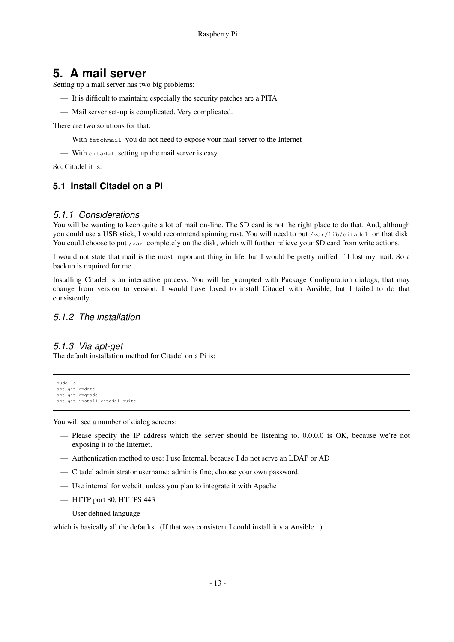## **5. A mail server**

Setting up a mail server has two big problems:

- It is difficult to maintain; especially the security patches are a PITA
- Mail server set-up is complicated. Very complicated.

There are two solutions for that:

- With fetchmail you do not need to expose your mail server to the Internet
- With citadel setting up the mail server is easy

So, Citadel it is.

## **5.1 Install Citadel on a Pi**

#### 5.1.1 Considerations

You will be wanting to keep quite a lot of mail on-line. The SD card is not the right place to do that. And, although you could use a USB stick, I would recommend spinning rust. You will need to put /var/lib/citadel on that disk. You could choose to put /var completely on the disk, which will further relieve your SD card from write actions.

I would not state that mail is the most important thing in life, but I would be pretty miffed if I lost my mail. So a backup is required for me.

Installing Citadel is an interactive process. You will be prompted with Package Configuration dialogs, that may change from version to version. I would have loved to install Citadel with Ansible, but I failed to do that consistently.

### 5.1.2 The installation

### 5.1.3 Via apt-get

The default installation method for Citadel on a Pi is:

```
sudo -s
apt-get update
apt-get upgrade
apt-get install citadel-suite
```
You will see a number of dialog screens:

- Please specify the IP address which the server should be listening to. 0.0.0.0 is OK, because we're not exposing it to the Internet.
- Authentication method to use: I use Internal, because I do not serve an LDAP or AD
- Citadel administrator username: admin is fine; choose your own password.
- Use internal for webcit, unless you plan to integrate it with Apache
- HTTP port 80, HTTPS 443
- User defined language

which is basically all the defaults. (If that was consistent I could install it via Ansible...)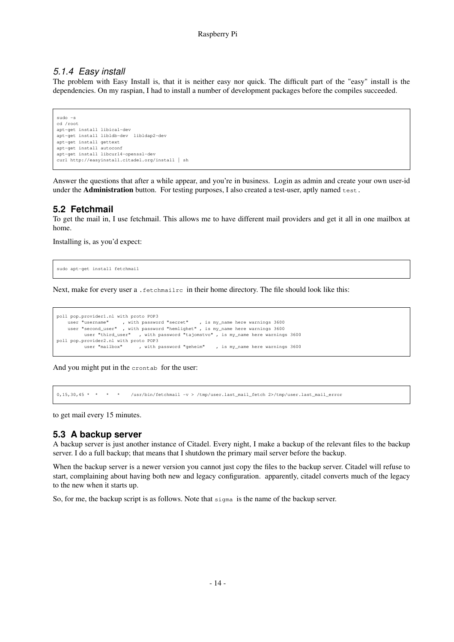### 5.1.4 Easy install

The problem with Easy Install is, that it is neither easy nor quick. The difficult part of the "easy" install is the dependencies. On my raspian, I had to install a number of development packages before the compiles succeeded.

sudo -s cd /root apt-get install libical-dev apt-get install libldb-dev libldap2-dev apt-get install gettext apt-get install autoconf apt-get install libcurl4-openssl-dev curl http://easyinstall.citadel.org/install | sh

Answer the questions that after a while appear, and you're in business. Login as admin and create your own user-id under the **Administration** button. For testing purposes, I also created a test-user, aptly named test.

## **5.2 Fetchmail**

To get the mail in, I use fetchmail. This allows me to have different mail providers and get it all in one mailbox at home.

Installing is, as you'd expect:

sudo apt-get install fetchmail

Next, make for every user a . fetchmailrc in their home directory. The file should look like this:

```
poll pop.provider1.nl with proto POP3
    user "username" , with password "secret" , is my_name here warnings 3600
    user "second_user" , with password "hemlighet" , is my_name here warnings 3600
         user "third_user" , with password "tajomstvo", is my_name here warnings 3600
poll pop.provider2.nl with proto POP3<br>user "mailbox", with a
                              , with password "geheim" , is my_name here warnings 3600
```
And you might put in the crontab for the user:

0,15,30,45 \* \* \* \* /usr/bin/fetchmail -v > /tmp/user.last\_mail\_fetch 2>/tmp/user.last\_mail\_error

to get mail every 15 minutes.

### **5.3 A backup server**

A backup server is just another instance of Citadel. Every night, I make a backup of the relevant files to the backup server. I do a full backup; that means that I shutdown the primary mail server before the backup.

When the backup server is a newer version you cannot just copy the files to the backup server. Citadel will refuse to start, complaining about having both new and legacy configuration. apparently, citadel converts much of the legacy to the new when it starts up.

So, for me, the backup script is as follows. Note that sigma is the name of the backup server.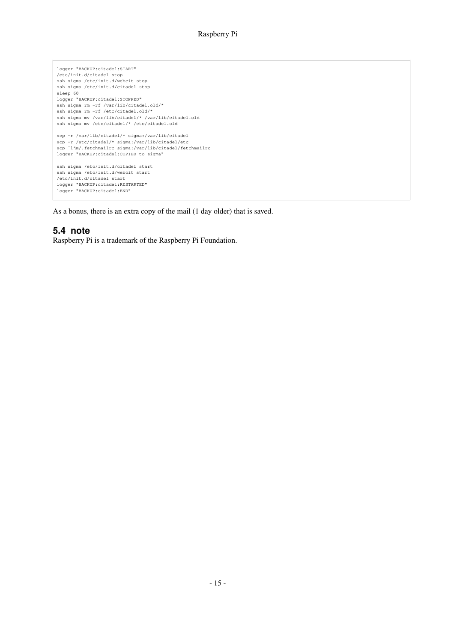logger "BACKUP:citadel:START" /etc/init.d/citadel stop ssh sigma /etc/init.d/webcit stop ssh sigma /etc/init.d/citadel stop sleep 60 logger "BACKUP:citadel:STOPPED" ssh sigma rm -rf /var/lib/citadel.old/\* ssh sigma rm -rf /etc/citadel.old/\* ssh sigma mv /var/lib/citadel/\* /var/lib/citadel.old ssh sigma mv /etc/citadel/\* /etc/citadel.old scp -r /var/lib/citadel/\* sigma:/var/lib/citadel scp -r /etc/citadel/\* sigma:/var/lib/citadel/etc scp ˜ljm/.fetchmailrc sigma:/var/lib/citadel/fetchmailrc logger "BACKUP:citadel:COPIED to sigma" ssh sigma /etc/init.d/citadel start ssh sigma /etc/init.d/webcit start /etc/init.d/citadel start logger "BACKUP:citadel:RESTARTED" logger "BACKUP:citadel:END"

As a bonus, there is an extra copy of the mail (1 day older) that is saved.

## **5.4 note**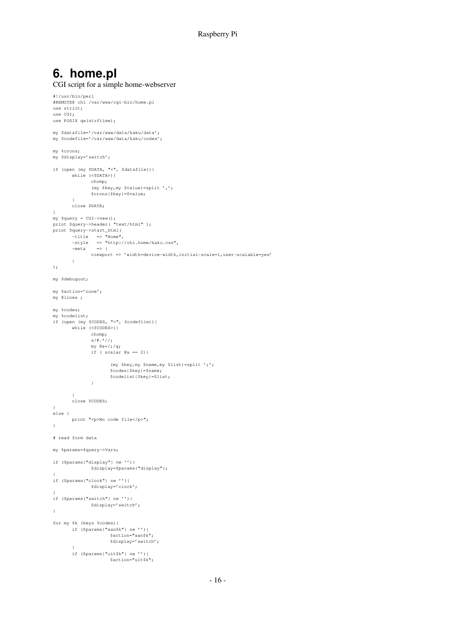## **6. home.pl**

```
CGI script for a simple home-webserver
#!/usr/bin/perl
#REMOTE@ chi /var/www/cgi-bin/home.pl
use strict;
use CGI;
use POSIX qw(strftime);
my $datafile='/var/www/data/kaku/data';
my $codefile='/var/www/data/kaku/codes';
my %crons;
my $display='switch';
if (open (my $DATA, "<", $datafile)){
      while (<$DATA>){
              chomp;
              (my $key,my $value)=split ',';
              $crons{$key}=$value;
       \lambda.<br>close $DATA;
}
my $query = CGI->new();
print $query->header( "text/html" );
print $query->start_html(
       -title => "Home",
       -style => "http://chi.home/kaku.css",
       -meta => {
             viewport => 'width=device-width,initial-scale=1,user-scalable=yes'
       }
);
my $debugout;
my $action='none';
my @lines ;
my %codes;
my %codelist;
if (open (my $CODES, "<", $codefile)){
       while (<$CODES>){
             chomp;
              s/#.*//;
              my @a=/;/g;
              if ( scalar @a == 2){
                     (my $key,my $name,my $list)=split ';';
                     $codes{$key}=$name;
                     $codelist{$key}=$list;
              }
       }
       close $CODES;
}
else {
       print "<p>No code file</p>";
}
# read form data
my %params=$query->Vars;
if ($params{"display"} ne ''){
             $display=$params{"display"};
}
if ($params{"clock"} ne ''){
             $display='clock';
}
if ($params{"switch"} ne ''){
             $display='switch';
}
for my $k (keys %codes){
       if ($params{"aan$k"} ne ''){
                    $action="aan$k";
                     $display='switch';
       \lambdaif ($params{"uit$k"} ne ''){
                     $action="uit$k";
```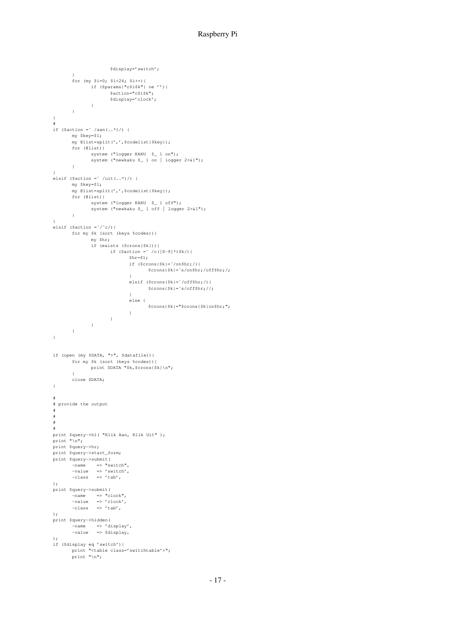#### Raspberry Pi

```
$display='switch';
        }
        for (my $i=0; $i<24; $i++){
               if ($params{"c$i$k"} ne ''){
                      $action="c$i$k";
                       $display='clock';
              }
       }
}
#
if ($action = ' /aan(..*)/) {
       my $key=$1;
       my @list=split(',',$codelist{$key});
       for (@list){
              system ("logger KAKU $ 1 on");
              system ("newkaku $_ 1 on | logger 2>&1");
       }
}
elsif ($action = \frac{2}{1} /uit(..*)/) {
        my $key=$1;
        my @list=split(',',$codelist{$key});
       for (@list){
              system ("logger KAKU $_ 1 off");
               system ("newkaku $_ 1 off | logger 2>&1");
       }
}
elsif ($action = \sqrt{\alpha}) {
       for my $k (sort (keys %codes)){
              my $hr;
               if (exists ($crons{$k})){
                       if ($action = \zeta /c([0-9]*)$k/){
                               \text{Shr}=\text{S1};if ($crons{$k}=˜/on$hr;/){
                                      $crons{$k}=˜s/on$hr;/off$hr;/;
                               }
                               elsif ($crons{$k}=˜/off$hr;/){
                                      $crons{$k}=˜s/off$hr;//;
                               }
                               else {
                                      $crons{$k}="$crons{$k}on$hr;";
                               }
                  \begin{array}{c} \begin{array}{c} \end{array} \\ \begin{array}{c} \end{array} \end{array}\longrightarrow\rightarrow\lambdaif (open (my $DATA, ">", $datafile)){
      for my $k (sort (keys %codes)){
             print $DATA "$k,$crons{$k}\n";
       \lambdaclose $DATA;
}
#
# provide the output
#
#
#
#
print $query->h1( "Klik Aan, Klik Uit" );
print "\n\cdot"\n\cdot"print $query->hr;
print $query->start_form;
print $query->submit(
        -name => "switch",
        -value => 'switch',
        -class => 'tab',
);
print $query->submit(
        -name => "clock",
        -value => 'clock',
        -class => 'tab',
);
print $query->hidden(
        -name => 'display',
        -value => $display,
\lambda:
if ($display eq 'switch'){
        print "<table class='switchtable'>";
        print "\n";
```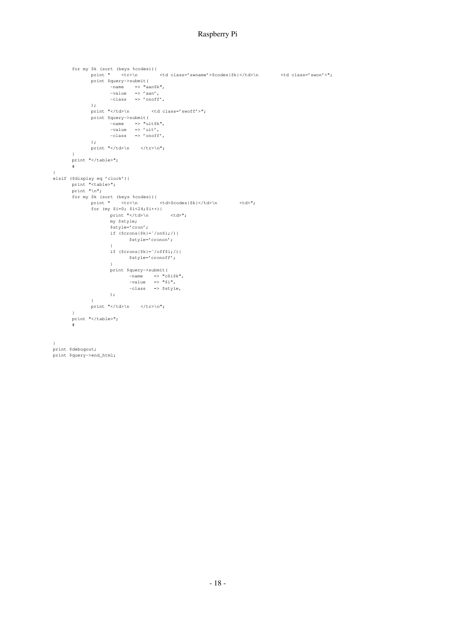#### Raspberry Pi

```
for my $k (sort (keys %codes)){
             print " <tr>\n <td class='swname'>$codes{$k}</td>\n <td class='swon'>";
             print $query->submit(
                    -name => "aan$k",
                    -value => 'aan',
                    -class => 'onoff',
             );<br>print "</td>\n<br>nri:- -
             print "</td>\n <td class='swoff'>";
             print $query->submit(
                    -name => "uit$k",
                    -value => 'uit',
                    -class => 'onoff',
             );
            print "</td>\n </tr>\n";
      }
      print "</table>";
      #
}
elsif ($display eq 'clock'){
       print "<table>";
       print "\n";
       for my $k (sort (keys %codes)){
             print " <tr> <tr>> <td>$codes{$k}</td>\n <td>";
             for (my $i=0; $i<24;$i++){
                    print "</td>\n <td>";
                    my $style;
                    $style='cron';
                   if ($crons{$k}=˜/on$i;/){
                        $style='cronon';
                   }
                   if ($crons{$k}=˜/off$i;/){
                           $style='cronoff';
                    }
                   print $query->submit(
                           -name = \sim "c$i$k",
                           -value => "$i",
                           -class => $style,
                   );
             }
            print "</td>\n </tr>\n";
      }
      print "</table>";
       #
}
print $debugout;
print $query->end_html;
```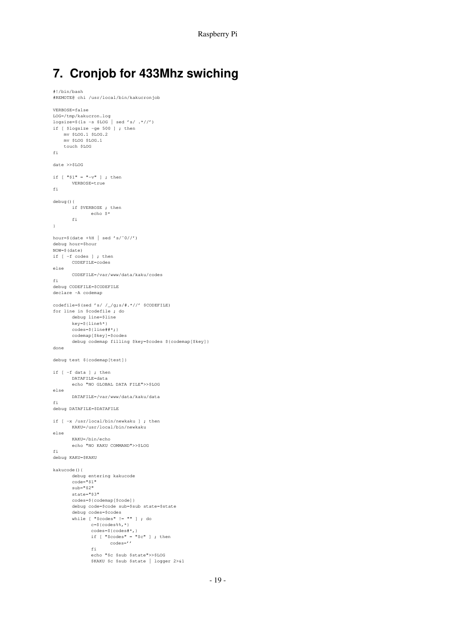# **7. Cronjob for 433Mhz swiching**

#!/bin/bash

```
#REMOTE@ chi /usr/local/bin/kakucronjob
VERBOSE=false
LOG=/tmp/kakucron.log
logsize=$(ls -s $LOG | sed 's/ .*//')
if [ $logsize -ge 500 ] ; then
   mv $LOG.1 $LOG.2
    mv $LOG $LOG.1
    touch $LOG
fi
date >>$LOG
if [ "$1" = "-v" ] ; then
       VERBOSE=true
fi
debug(){
     if $VERBOSE ; then
             echo $*
      fi
}
hour=$(\text{date }+\$H | \text{sed } 's/^0//')debug hour=$hour
NOW=$(date)
if [ -f codes ] ; then
       CODEFILE=codes
else
       CODEFILE=/var/www/data/kaku/codes
fi
debug CODEFILE=$CODEFILE
declare -A codemap
codefile=$(sed 's/ /_/g;s/#.*//' $CODEFILE)
for line in $codefile ; do
       debug line=$line
       key=${line%*}
       codes=${line##*;}
       codemap[$key]=$codes
       debug codemap filling $key=$codes ${codemap[$key]}
done
debug test ${codemap[test]}
if [ -f data ] ; then
       DATAFILE=data
       echo "NO GLOBAL DATA FILE">>$LOG
else
       DATAFILE=/var/www/data/kaku/data
fi
debug DATAFILE=$DATAFILE
if [ -x /usr/local/bin/newkaku ] ; then
       KAKU=/usr/local/bin/newkaku
else
       KAKU=/bin/echo
       echo "NO KAKU COMMAND">>$LOG
fi
debug KAKU=$KAKU
kakucode(){
       debug entering kakucode
       code="51"sub="$2"state="$3"
       codes=${codemap[$code]}
       debug code=$code sub=$sub state=$state
       debug codes=$codes
       while [ "$codes" != "" ] ; do
              c = ${codes*, *}codes=${codes#*,}
               if [ "$codes" = "$c" ] ; then
codes=''
              f_iecho "$c $sub $state">>$LOG
              $KAKU $c $sub $state | logger 2>&1
```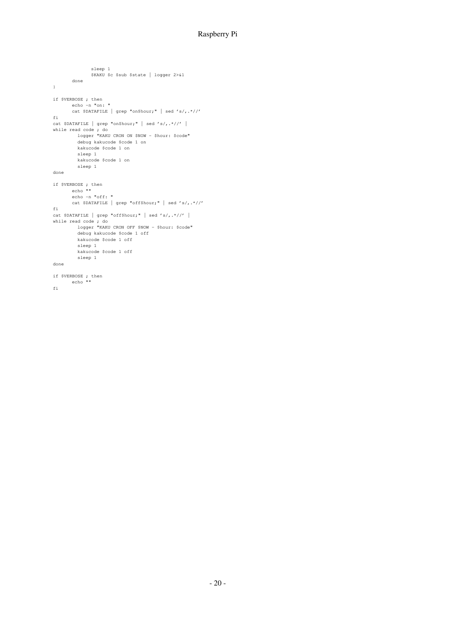#### Raspberry Pi

```
sleep 1
             $KAKU $c $sub $state | logger 2>&1
      done
}
if $VERBOSE ; then
      echo -n "on: "
       cat $DATAFILE | grep "on$hour;" | sed 's/,.*//'
fi
cat $DATAFILE | grep "on$hour;" | sed 's/,.*//' |
while read code ; do
         logger "KAKU CRON ON $NOW - $hour: $code"
        debug kakucode $code 1 on
        kakucode $code 1 on
        sleep 1
        kakucode $code 1 on
        sleep 1
done
if $VERBOSE ; then
       echo ""
       echo -n "off: "
       cat $DATAFILE | grep "off$hour;" | sed 's/,.*//'
fi
cat $DATAFILE | grep "off$hour;" | sed 's/,.*//' |
while read code ; do
         logger "KAKU CRON OFF $NOW - $hour: $code"
        debug kakucode $code 1 off
        kakucode $code 1 off
         sleep 1
        kakucode $code 1 off
        sleep 1
done
if $VERBOSE ; then
       echo ""
fi
```